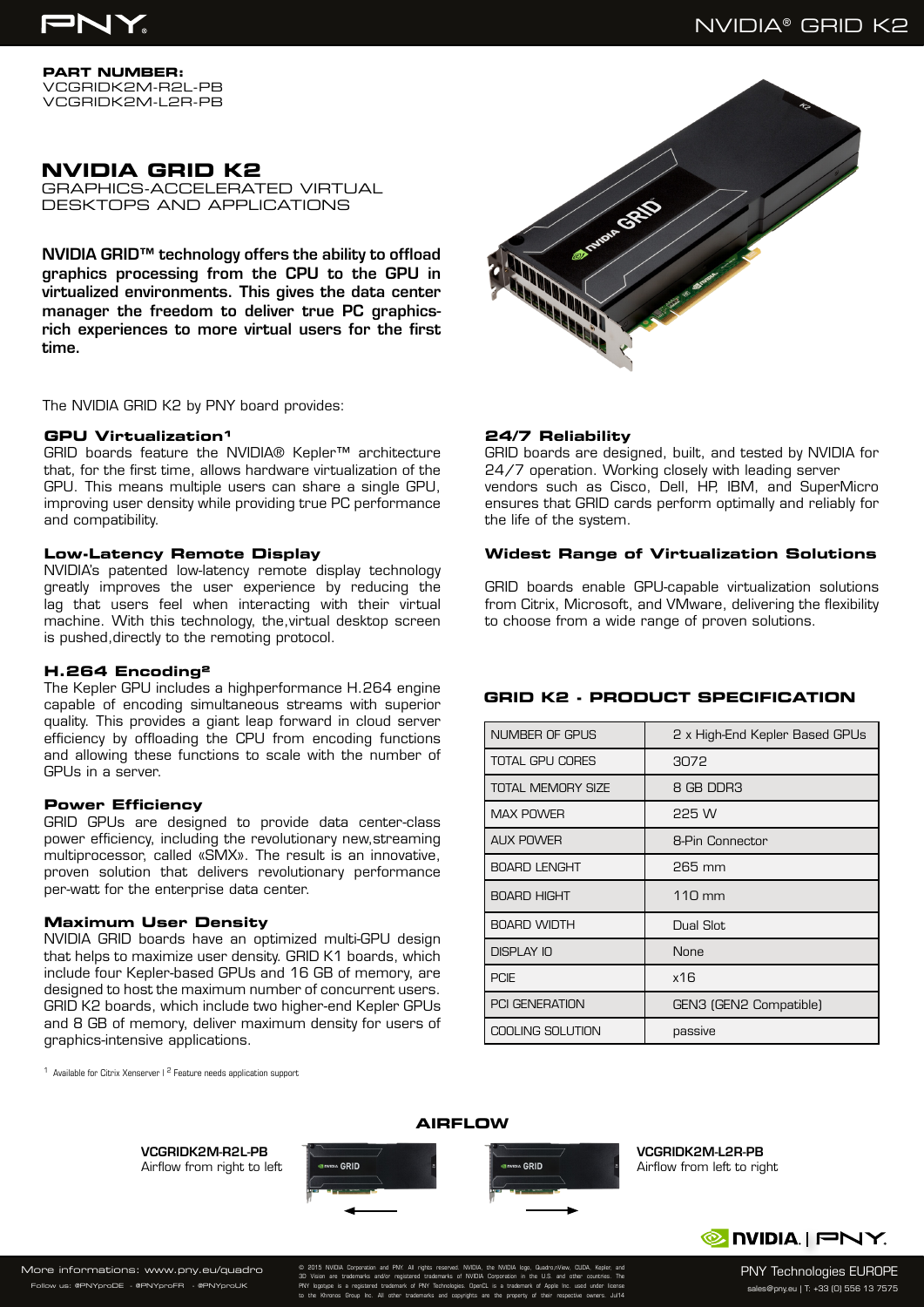

**PART NUMBER:** VCGRIDK2M-R2L-PB VCGRIDK2M-L2R-PB

# **NVIDIA GRID K2**

GRAPHICS-ACCELERATED VIRTUAL DESKTOPS AND APPLICATIONS

NVIDIA GRID™ technology offers the ability to offload graphics processing from the CPU to the GPU in virtualized environments. This gives the data center manager the freedom to deliver true PC graphicsrich experiences to more virtual users for the first time.

The NVIDIA GRID K2 by PNY board provides:

#### **GPU Virtualization<sup>1</sup>**

GRID boards feature the NVIDIA® Kepler™ architecture that, for the first time, allows hardware virtualization of the GPU. This means multiple users can share a single GPU, improving user density while providing true PC performance and compatibility.

### **Low-Latency Remote Display**

NVIDIA's patented low-latency remote display technology greatly improves the user experience by reducing the lag that users feel when interacting with their virtual machine. With this technology, the,virtual desktop screen is pushed,directly to the remoting protocol.

#### **H.264 Encoding²**

The Kepler GPU includes a highperformance H.264 engine capable of encoding simultaneous streams with superior quality. This provides a giant leap forward in cloud server efficiency by offloading the CPU from encoding functions and allowing these functions to scale with the number of GPUs in a server.

#### **Power Efficiency**

GRID GPUs are designed to provide data center-class power efficiency, including the revolutionary new,streaming multiprocessor, called «SMX». The result is an innovative, proven solution that delivers revolutionary performance per-watt for the enterprise data center.

#### **Maximum User Density**

NVIDIA GRID boards have an optimized multi-GPU design that helps to maximize user density. GRID K1 boards, which include four Kepler-based GPUs and 16 GB of memory, are designed to host the maximum number of concurrent users. GRID K2 boards, which include two higher-end Kepler GPUs and 8 GB of memory, deliver maximum density for users of graphics-intensive applications.

<sup>1</sup> Available for Citrix Xenserver I<sup>2</sup> Feature needs application support



## **24/7 Reliability**

GRID boards are designed, built, and tested by NVIDIA for 24/7 operation. Working closely with leading server vendors such as Cisco, Dell, HP, IBM, and SuperMicro ensures that GRID cards perform optimally and reliably for the life of the system.

#### **Widest Range of Virtualization Solutions**

GRID boards enable GPU-capable virtualization solutions from Citrix, Microsoft, and VMware, delivering the flexibility to choose from a wide range of proven solutions.

#### **GRID K2 - PRODUCT SPECIFICATION**

| NUMBER OF GPUS           | 2 x High-End Kepler Based GPUs |
|--------------------------|--------------------------------|
| TOTAL GPU CORES          | 3072                           |
| <b>TOTAL MEMORY SIZE</b> | 8 GB DDR3                      |
| <b>MAX POWER</b>         | 225 W                          |
| <b>AUX POWER</b>         | 8-Pin Connector                |
| <b>BOARD LENGHT</b>      | $265$ mm                       |
| <b>BOARD HIGHT</b>       | 110 mm                         |
| <b>BOARD WIDTH</b>       | Dual Slot                      |
| DISPLAY IO               | None                           |
| <b>PCIE</b>              | x16                            |
| <b>PCI GENERATION</b>    | GEN3 (GEN2 Compatible)         |
| <b>COOLING SOLUTION</b>  | passive                        |



VCGRIDK2M-L2R-PB Airflow from left to right



PNY Technologies EUROPE sales@pny.eu | T: +33 (0) 556 13 7575

More informations: www.pny.eu/quadro .<br>W us: @PNYproDE - @PNYproFR - @PNYproUk

© 2015 NVIDIA Corporation and PNY. All rights reserved. NVIDIA, the NVIDIA logo, Quadro,nView, CUDA, Kepler, and 3D Vision are trademarks and/or registered trademarks of NVIDIA Corporation in the U.S. and other countries. The PNY logotype is a registered trademark of PNY Technologies. OpenCL is a trademark of Apple Inc. used under license to the Khronos Group Inc. All other trademarks and copyrights are the property of their respective owners. Jul14